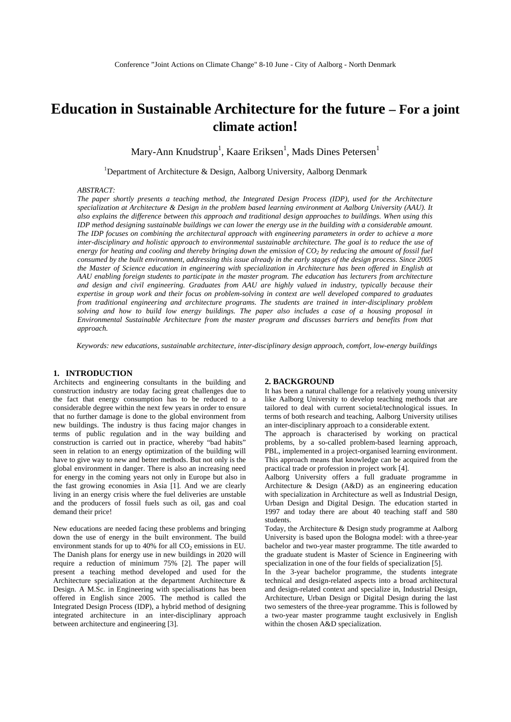# **Education in Sustainable Architecture for the future – For a joint climate action!**

Mary-Ann Knudstrup<sup>1</sup>, Kaare Eriksen<sup>1</sup>, Mads Dines Petersen<sup>1</sup>

<sup>1</sup>Department of Architecture & Design, Aalborg University, Aalborg Denmark

# *ABSTRACT:*

*The paper shortly presents a teaching method, the Integrated Design Process (IDP), used for the Architecture specialization at Architecture & Design in the problem based learning environment at Aalborg University (AAU). It also explains the difference between this approach and traditional design approaches to buildings. When using this IDP method designing sustainable buildings we can lower the energy use in the building with a considerable amount. The IDP focuses on combining the architectural approach with engineering parameters in order to achieve a more inter-disciplinary and holistic approach to environmental sustainable architecture. The goal is to reduce the use of*   $e$ nergy for heating and cooling and thereby bringing down the emission of  $CO<sub>2</sub>$  by reducing the amount of fossil fuel *consumed by the built environment, addressing this issue already in the early stages of the design process. Since 2005 the Master of Science education in engineering with specialization in Architecture has been offered in English at AAU enabling foreign students to participate in the master program. The education has lecturers from architecture and design and civil engineering. Graduates from AAU are highly valued in industry, typically because their expertise in group work and their focus on problem-solving in context are well developed compared to graduates from traditional engineering and architecture programs. The students are trained in inter-disciplinary problem solving and how to build low energy buildings. The paper also includes a case of a housing proposal in Environmental Sustainable Architecture from the master program and discusses barriers and benefits from that approach.* 

 *Keywords: new educations, sustainable architecture, inter-disciplinary design approach, comfort, low-energy buildings*

# **1. INTRODUCTION**

Architects and engineering consultants in the building and construction industry are today facing great challenges due to the fact that energy consumption has to be reduced to a considerable degree within the next few years in order to ensure that no further damage is done to the global environment from new buildings. The industry is thus facing major changes in terms of public regulation and in the way building and construction is carried out in practice, whereby "bad habits" seen in relation to an energy optimization of the building will have to give way to new and better methods. But not only is the global environment in danger. There is also an increasing need for energy in the coming years not only in Europe but also in the fast growing economies in Asia [1]. And we are clearly living in an energy crisis where the fuel deliveries are unstable and the producers of fossil fuels such as oil, gas and coal demand their price!

New educations are needed facing these problems and bringing down the use of energy in the built environment. The build environment stands for up to 40% for all  $CO<sub>2</sub>$  emissions in EU. The Danish plans for energy use in new buildings in 2020 will require a reduction of minimum 75% [2]. The paper will present a teaching method developed and used for the Architecture specialization at the department Architecture & Design. A M.Sc. in Engineering with specialisations has been offered in English since 2005. The method is called the Integrated Design Process (IDP), a hybrid method of designing integrated architecture in an inter-disciplinary approach between architecture and engineering [3].

## **2. BACKGROUND**

It has been a natural challenge for a relatively young university like Aalborg University to develop teaching methods that are tailored to deal with current societal/technological issues. In terms of both research and teaching, Aalborg University utilises an inter-disciplinary approach to a considerable extent.

The approach is characterised by working on practical problems, by a so-called problem-based learning approach, PBL, implemented in a project-organised learning environment. This approach means that knowledge can be acquired from the practical trade or profession in project work [4].

Aalborg University offers a full graduate programme in Architecture & Design (A&D) as an engineering education with specialization in Architecture as well as Industrial Design, Urban Design and Digital Design. The education started in 1997 and today there are about 40 teaching staff and 580 students.

Today, the Architecture & Design study programme at Aalborg University is based upon the Bologna model: with a three-year bachelor and two-year master programme. The title awarded to the graduate student is Master of Science in Engineering with specialization in one of the four fields of specialization [5].

In the 3-year bachelor programme, the students integrate technical and design-related aspects into a broad architectural and design-related context and specialize in, Industrial Design, Architecture, Urban Design or Digital Design during the last two semesters of the three-year programme. This is followed by a two-year master programme taught exclusively in English within the chosen A&D specialization.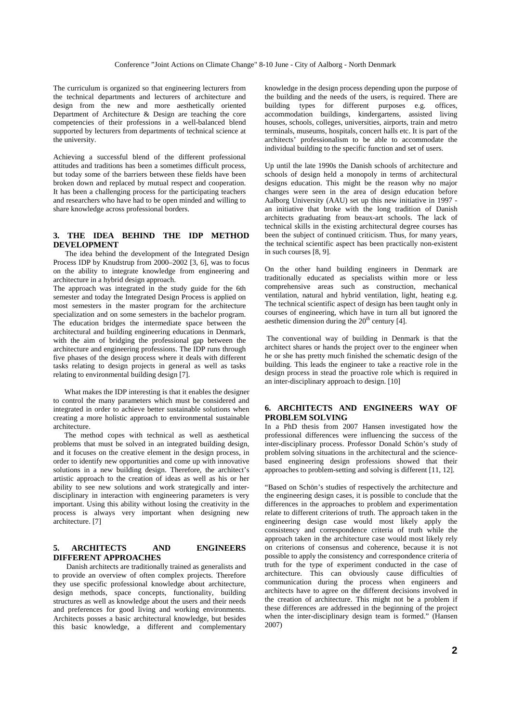The curriculum is organized so that engineering lecturers from the technical departments and lecturers of architecture and design from the new and more aesthetically oriented Department of Architecture & Design are teaching the core competencies of their professions in a well-balanced blend supported by lecturers from departments of technical science at the university.

Achieving a successful blend of the different professional attitudes and traditions has been a sometimes difficult process, but today some of the barriers between these fields have been broken down and replaced by mutual respect and cooperation. It has been a challenging process for the participating teachers and researchers who have had to be open minded and willing to share knowledge across professional borders.

# **3. THE IDEA BEHIND THE IDP METHOD DEVELOPMENT**

The idea behind the development of the Integrated Design Process IDP by Knudstrup from 2000–2002 [3, 6], was to focus on the ability to integrate knowledge from engineering and architecture in a hybrid design approach.

The approach was integrated in the study guide for the 6th semester and today the Integrated Design Process is applied on most semesters in the master program for the architecture specialization and on some semesters in the bachelor program. The education bridges the intermediate space between the architectural and building engineering educations in Denmark, with the aim of bridging the professional gap between the architecture and engineering professions. The IDP runs through five phases of the design process where it deals with different tasks relating to design projects in general as well as tasks relating to environmental building design [7].

 What makes the IDP interesting is that it enables the designer to control the many parameters which must be considered and integrated in order to achieve better sustainable solutions when creating a more holistic approach to environmental sustainable architecture.

 The method copes with technical as well as aesthetical problems that must be solved in an integrated building design, and it focuses on the creative element in the design process, in order to identify new opportunities and come up with innovative solutions in a new building design. Therefore, the architect's artistic approach to the creation of ideas as well as his or her ability to see new solutions and work strategically and interdisciplinary in interaction with engineering parameters is very important. Using this ability without losing the creativity in the process is always very important when designing new architecture. [7]

# **5. ARCHITECTS AND ENGINEERS DIFFERENT APPROACHES**

 Danish architects are traditionally trained as generalists and to provide an overview of often complex projects. Therefore they use specific professional knowledge about architecture, design methods, space concepts, functionality, building structures as well as knowledge about the users and their needs and preferences for good living and working environments. Architects posses a basic architectural knowledge, but besides this basic knowledge, a different and complementary knowledge in the design process depending upon the purpose of the building and the needs of the users, is required. There are building types for different purposes e.g. offices, accommodation buildings, kindergartens, assisted living houses, schools, colleges, universities, airports, train and metro terminals, museums, hospitals, concert halls etc. It is part of the architects' professionalism to be able to accommodate the individual building to the specific function and set of users.

Up until the late 1990s the Danish schools of architecture and schools of design held a monopoly in terms of architectural designs education. This might be the reason why no major changes were seen in the area of design education before Aalborg University (AAU) set up this new initiative in 1997 an initiative that broke with the long tradition of Danish architects graduating from beaux-art schools. The lack of technical skills in the existing architectural degree courses has been the subject of continued criticism. Thus, for many years, the technical scientific aspect has been practically non-existent in such courses [8, 9].

On the other hand building engineers in Denmark are traditionally educated as specialists within more or less comprehensive areas such as construction, mechanical ventilation, natural and hybrid ventilation, light, heating e.g. The technical scientific aspect of design has been taught only in courses of engineering, which have in turn all but ignored the aesthetic dimension during the  $20<sup>th</sup>$  century [4].

 The conventional way of building in Denmark is that the architect shares or hands the project over to the engineer when he or she has pretty much finished the schematic design of the building. This leads the engineer to take a reactive role in the design process in stead the proactive role which is required in an inter-disciplinary approach to design. [10]

# **6. ARCHITECTS AND ENGINEERS WAY OF PROBLEM SOLVING**

In a PhD thesis from 2007 Hansen investigated how the professional differences were influencing the success of the inter-disciplinary process. Professor Donald Schön's study of problem solving situations in the architectural and the sciencebased engineering design professions showed that their approaches to problem-setting and solving is different [11, 12].

"Based on Schön's studies of respectively the architecture and the engineering design cases, it is possible to conclude that the differences in the approaches to problem and experimentation relate to different criterions of truth. The approach taken in the engineering design case would most likely apply the consistency and correspondence criteria of truth while the approach taken in the architecture case would most likely rely on criterions of consensus and coherence, because it is not possible to apply the consistency and correspondence criteria of truth for the type of experiment conducted in the case of architecture. This can obviously cause difficulties of communication during the process when engineers and architects have to agree on the different decisions involved in the creation of architecture. This might not be a problem if these differences are addressed in the beginning of the project when the inter-disciplinary design team is formed." (Hansen 2007)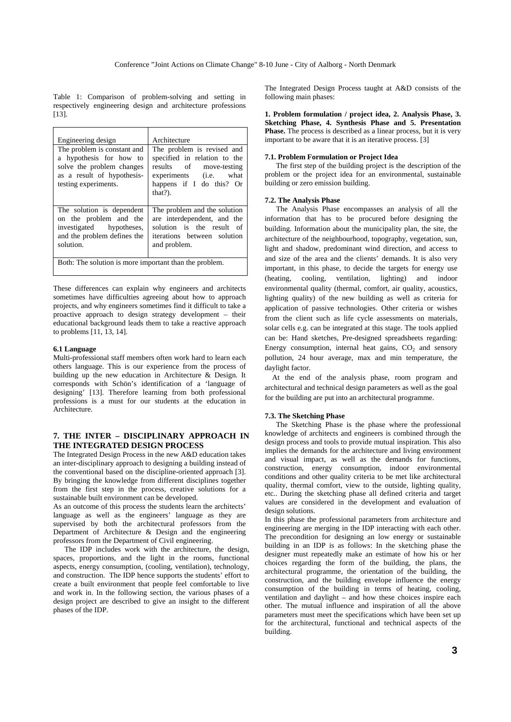Table 1: Comparison of problem-solving and setting in respectively engineering design and architecture professions [13].

| Engineering design                                                                                                                        | Architecture                                                                                                                                              |
|-------------------------------------------------------------------------------------------------------------------------------------------|-----------------------------------------------------------------------------------------------------------------------------------------------------------|
| The problem is constant and<br>a hypothesis for how to<br>solve the problem changes<br>as a result of hypothesis-<br>testing experiments. | The problem is revised and<br>specified in relation to the<br>results of<br>move-testing<br>experiments (i.e. what<br>happens if I do this? Or<br>that?). |
| The solution is dependent<br>on the problem and the<br>investigated hypotheses,<br>and the problem defines the<br>solution.               | The problem and the solution<br>are interdependent, and the<br>solution is the result of<br>iterations between solution<br>and problem.                   |
| Both: The solution is more important than the problem.                                                                                    |                                                                                                                                                           |

These differences can explain why engineers and architects sometimes have difficulties agreeing about how to approach projects, and why engineers sometimes find it difficult to take a proactive approach to design strategy development – their educational background leads them to take a reactive approach to problems [11, 13, 14].

## **6.1 Language**

Multi-professional staff members often work hard to learn each others language. This is our experience from the process of building up the new education in Architecture & Design. It corresponds with Schön's identification of a 'language of designing' [13]. Therefore learning from both professional professions is a must for our students at the education in Architecture.

# **7. THE INTER – DISCIPLINARY APPROACH IN THE INTEGRATED DESIGN PROCESS**

The Integrated Design Process in the new A&D education takes an inter-disciplinary approach to designing a building instead of the conventional based on the discipline-oriented approach [3]. By bringing the knowledge from different disciplines together from the first step in the process, creative solutions for a sustainable built environment can be developed.

As an outcome of this process the students learn the architects' language as well as the engineers' language as they are supervised by both the architectural professors from the Department of Architecture & Design and the engineering professors from the Department of Civil engineering.

 The IDP includes work with the architecture, the design, spaces, proportions, and the light in the rooms, functional aspects, energy consumption, (cooling, ventilation), technology, and construction. The IDP hence supports the students' effort to create a built environment that people feel comfortable to live and work in. In the following section, the various phases of a design project are described to give an insight to the different phases of the IDP.

The Integrated Design Process taught at A&D consists of the following main phases:

**1. Problem formulation / project idea, 2. Analysis Phase, 3. Sketching Phase, 4. Synthesis Phase and 5. Presentation Phase.** The process is described as a linear process, but it is very important to be aware that it is an iterative process. [3]

#### **7.1. Problem Formulation or Project Idea**

 The first step of the building project is the description of the problem or the project idea for an environmental, sustainable building or zero emission building.

# **7.2. The Analysis Phase**

 The Analysis Phase encompasses an analysis of all the information that has to be procured before designing the building. Information about the municipality plan, the site, the architecture of the neighbourhood, topography, vegetation, sun, light and shadow, predominant wind direction, and access to and size of the area and the clients' demands. It is also very important, in this phase, to decide the targets for energy use (heating, cooling, ventilation, lighting) and indoor environmental quality (thermal, comfort, air quality, acoustics, lighting quality) of the new building as well as criteria for application of passive technologies. Other criteria or wishes from the client such as life cycle assessments on materials, solar cells e.g. can be integrated at this stage. The tools applied can be: Hand sketches, Pre-designed spreadsheets regarding: Energy consumption, internal heat gains,  $CO<sub>2</sub>$  and sensory pollution, 24 hour average, max and min temperature, the daylight factor.

 At the end of the analysis phase, room program and architectural and technical design parameters as well as the goal for the building are put into an architectural programme.

# **7.3. The Sketching Phase**

 The Sketching Phase is the phase where the professional knowledge of architects and engineers is combined through the design process and tools to provide mutual inspiration. This also implies the demands for the architecture and living environment and visual impact, as well as the demands for functions, construction, energy consumption, indoor environmental conditions and other quality criteria to be met like architectural quality, thermal comfort, view to the outside, lighting quality, etc.. During the sketching phase all defined criteria and target values are considered in the development and evaluation of design solutions.

In this phase the professional parameters from architecture and engineering are merging in the IDP interacting with each other. The precondition for designing an low energy or sustainable building in an IDP is as follows: In the sketching phase the designer must repeatedly make an estimate of how his or her choices regarding the form of the building, the plans, the architectural programme, the orientation of the building, the construction, and the building envelope influence the energy consumption of the building in terms of heating, cooling, ventilation and daylight – and how these choices inspire each other. The mutual influence and inspiration of all the above parameters must meet the specifications which have been set up for the architectural, functional and technical aspects of the building.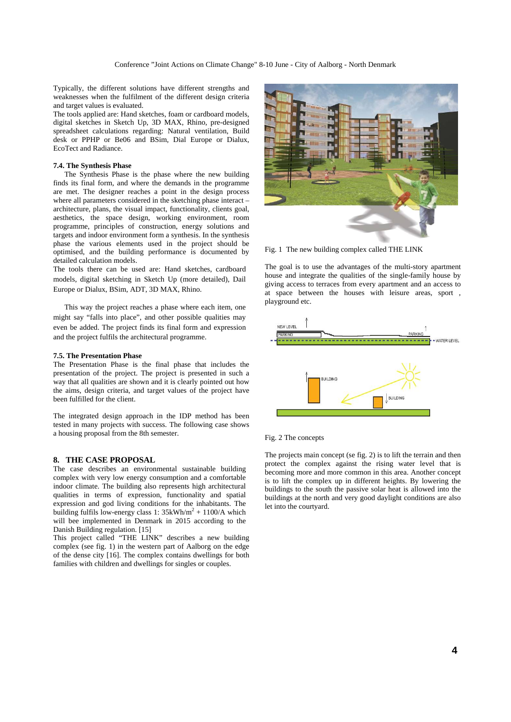Typically, the different solutions have different strengths and weaknesses when the fulfilment of the different design criteria and target values is evaluated.

The tools applied are: Hand sketches, foam or cardboard models, digital sketches in Sketch Up, 3D MAX, Rhino, pre-designed spreadsheet calculations regarding: Natural ventilation, Build desk or PPHP or Be06 and BSim, Dial Europe or Dialux, EcoTect and Radiance.

# **7.4. The Synthesis Phase**

 The Synthesis Phase is the phase where the new building finds its final form, and where the demands in the programme are met. The designer reaches a point in the design process where all parameters considered in the sketching phase interact – architecture, plans, the visual impact, functionality, clients goal, aesthetics, the space design, working environment, room programme, principles of construction, energy solutions and targets and indoor environment form a synthesis. In the synthesis phase the various elements used in the project should be optimised, and the building performance is documented by detailed calculation models.

The tools there can be used are: Hand sketches, cardboard models, digital sketching in Sketch Up (more detailed), Dail Europe or Dialux, BSim, ADT, 3D MAX, Rhino.

 This way the project reaches a phase where each item, one might say "falls into place", and other possible qualities may even be added. The project finds its final form and expression and the project fulfils the architectural programme.

# **7.5. The Presentation Phase**

The Presentation Phase is the final phase that includes the presentation of the project. The project is presented in such a way that all qualities are shown and it is clearly pointed out how the aims, design criteria, and target values of the project have been fulfilled for the client.

The integrated design approach in the IDP method has been tested in many projects with success. The following case shows a housing proposal from the 8th semester.

# **8. THE CASE PROPOSAL**

The case describes an environmental sustainable building complex with very low energy consumption and a comfortable indoor climate. The building also represents high architectural qualities in terms of expression, functionality and spatial expression and god living conditions for the inhabitants. The building fulfils low-energy class 1:  $35kWh/m^2 + 1100/A$  which will bee implemented in Denmark in 2015 according to the Danish Building regulation. [15]

This project called "THE LINK" describes a new building complex (see fig. 1) in the western part of Aalborg on the edge of the dense city [16]. The complex contains dwellings for both families with children and dwellings for singles or couples.



Fig. 1 The new building complex called THE LINK

The goal is to use the advantages of the multi-story apartment house and integrate the qualities of the single-family house by giving access to terraces from every apartment and an access to at space between the houses with leisure areas, sport , playground etc.



Fig. 2 The concepts

The projects main concept (se fig. 2) is to lift the terrain and then protect the complex against the rising water level that is becoming more and more common in this area. Another concept is to lift the complex up in different heights. By lowering the buildings to the south the passive solar heat is allowed into the buildings at the north and very good daylight conditions are also let into the courtyard.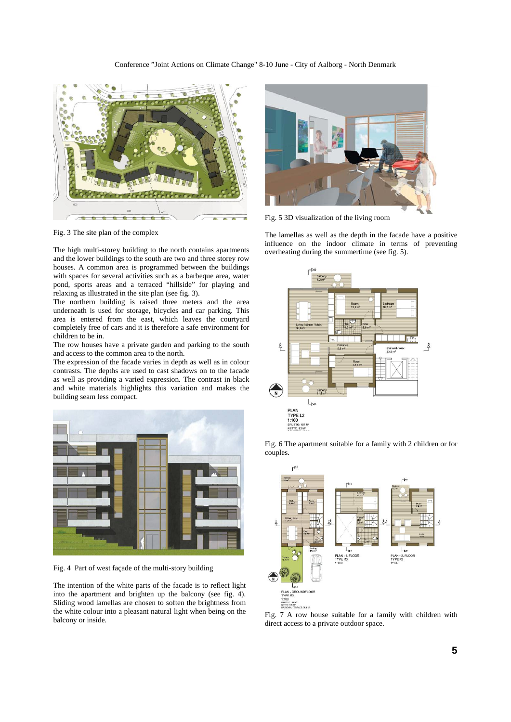

Fig. 3 The site plan of the complex

The high multi-storey building to the north contains apartments and the lower buildings to the south are two and three storey row houses. A common area is programmed between the buildings with spaces for several activities such as a barbeque area, water pond, sports areas and a terraced "hillside" for playing and relaxing as illustrated in the site plan (see fig. 3).

The northern building is raised three meters and the area underneath is used for storage, bicycles and car parking. This area is entered from the east, which leaves the courtyard completely free of cars and it is therefore a safe environment for children to be in.

The row houses have a private garden and parking to the south and access to the common area to the north.

The expression of the facade varies in depth as well as in colour contrasts. The depths are used to cast shadows on to the facade as well as providing a varied expression. The contrast in black and white materials highlights this variation and makes the building seam less compact.



Fig. 4 Part of west façade of the multi-story building

The intention of the white parts of the facade is to reflect light into the apartment and brighten up the balcony (see fig. 4). Sliding wood lamellas are chosen to soften the brightness from the white colour into a pleasant natural light when being on the balcony or inside.



Fig. 5 3D visualization of the living room

The lamellas as well as the depth in the facade have a positive influence on the indoor climate in terms of preventing overheating during the summertime (see fig. 5).



Fig. 6 The apartment suitable for a family with 2 children or for couples.



Fig. 7 A row house suitable for a family with children with direct access to a private outdoor space.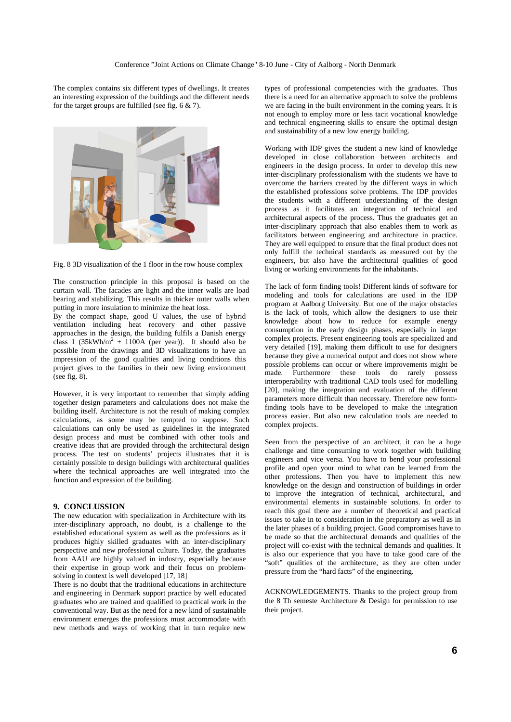The complex contains six different types of dwellings. It creates an interesting expression of the buildings and the different needs for the target groups are fulfilled (see fig. 6 & 7).



Fig. 8 3D visualization of the 1 floor in the row house complex

The construction principle in this proposal is based on the curtain wall. The facades are light and the inner walls are load bearing and stabilizing. This results in thicker outer walls when putting in more insulation to minimize the heat loss.

By the compact shape, good U values, the use of hybrid ventilation including heat recovery and other passive approaches in the design, the building fulfils a Danish energy class 1 (35kWh/m<sup>2</sup> + 1100A (per year)). It should also be possible from the drawings and 3D visualizations to have an impression of the good qualities and living conditions this project gives to the families in their new living environment (see fig. 8).

However, it is very important to remember that simply adding together design parameters and calculations does not make the building itself. Architecture is not the result of making complex calculations, as some may be tempted to suppose. Such calculations can only be used as guidelines in the integrated design process and must be combined with other tools and creative ideas that are provided through the architectural design process. The test on students' projects illustrates that it is certainly possible to design buildings with architectural qualities where the technical approaches are well integrated into the function and expression of the building.

# **9. CONCLUSSION**

The new education with specialization in Architecture with its inter-disciplinary approach, no doubt, is a challenge to the established educational system as well as the professions as it produces highly skilled graduates with an inter-disciplinary perspective and new professional culture. Today, the graduates from AAU are highly valued in industry, especially because their expertise in group work and their focus on problemsolving in context is well developed [17, 18]

There is no doubt that the traditional educations in architecture and engineering in Denmark support practice by well educated graduates who are trained and qualified to practical work in the conventional way. But as the need for a new kind of sustainable environment emerges the professions must accommodate with new methods and ways of working that in turn require new

types of professional competencies with the graduates. Thus there is a need for an alternative approach to solve the problems we are facing in the built environment in the coming years. It is not enough to employ more or less tacit vocational knowledge and technical engineering skills to ensure the optimal design and sustainability of a new low energy building.

Working with IDP gives the student a new kind of knowledge developed in close collaboration between architects and engineers in the design process. In order to develop this new inter-disciplinary professionalism with the students we have to overcome the barriers created by the different ways in which the established professions solve problems. The IDP provides the students with a different understanding of the design process as it facilitates an integration of technical and architectural aspects of the process. Thus the graduates get an inter-disciplinary approach that also enables them to work as facilitators between engineering and architecture in practice. They are well equipped to ensure that the final product does not only fulfill the technical standards as measured out by the engineers, but also have the architectural qualities of good living or working environments for the inhabitants.

The lack of form finding tools! Different kinds of software for modeling and tools for calculations are used in the IDP program at Aalborg University. But one of the major obstacles is the lack of tools, which allow the designers to use their knowledge about how to reduce for example energy consumption in the early design phases, especially in larger complex projects. Present engineering tools are specialized and very detailed [19], making them difficult to use for designers because they give a numerical output and does not show where possible problems can occur or where improvements might be made. Furthermore these tools do rarely possess interoperability with traditional CAD tools used for modelling [20], making the integration and evaluation of the different parameters more difficult than necessary. Therefore new formfinding tools have to be developed to make the integration process easier. But also new calculation tools are needed to complex projects.

Seen from the perspective of an architect, it can be a huge challenge and time consuming to work together with building engineers and vice versa. You have to bend your professional profile and open your mind to what can be learned from the other professions. Then you have to implement this new knowledge on the design and construction of buildings in order to improve the integration of technical, architectural, and environmental elements in sustainable solutions. In order to reach this goal there are a number of theoretical and practical issues to take in to consideration in the preparatory as well as in the later phases of a building project. Good compromises have to be made so that the architectural demands and qualities of the project will co-exist with the technical demands and qualities. It is also our experience that you have to take good care of the "soft" qualities of the architecture, as they are often under pressure from the "hard facts" of the engineering.

ACKNOWLEDGEMENTS. Thanks to the project group from the 8 Th semeste Architecture & Design for permission to use their project.